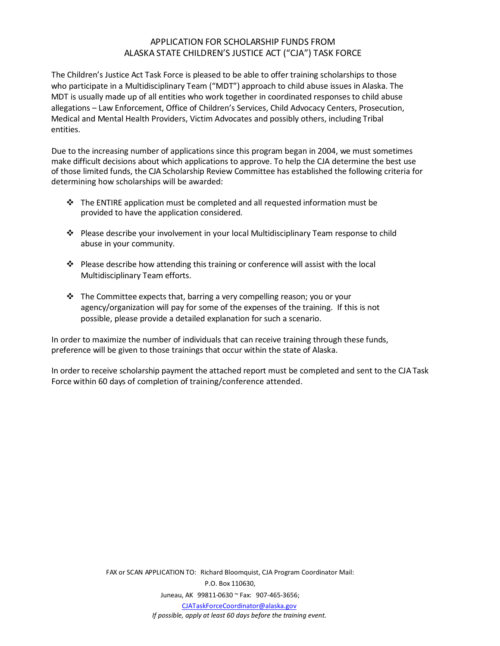## APPLICATION FOR SCHOLARSHIP FUNDS FROM ALASKA STATE CHILDREN'S JUSTICE ACT ("CJA") TASK FORCE

The Children's Justice Act Task Force is pleased to be able to offer training scholarships to those who participate in a Multidisciplinary Team ("MDT") approach to child abuse issues in Alaska. The MDT is usually made up of all entities who work together in coordinated responses to child abuse allegations – Law Enforcement, Office of Children's Services, Child Advocacy Centers, Prosecution, Medical and Mental Health Providers, Victim Advocates and possibly others, including Tribal entities.

Due to the increasing number of applications since this program began in 2004, we must sometimes make difficult decisions about which applications to approve. To help the CJA determine the best use of those limited funds, the CJA Scholarship Review Committee has established the following criteria for determining how scholarships will be awarded:

- $\div$  The ENTIRE application must be completed and all requested information must be provided to have the application considered.
- Please describe your involvement in your local Multidisciplinary Team response to child abuse in your community.
- $\div$  Please describe how attending this training or conference will assist with the local Multidisciplinary Team efforts.
- $\div$  The Committee expects that, barring a very compelling reason; you or your agency/organization will pay for some of the expenses of the training. If this is not possible, please provide a detailed explanation for such a scenario.

In order to maximize the number of individuals that can receive training through these funds, preference will be given to those trainings that occur within the state of Alaska.

In order to receive scholarship payment the attached report must be completed and sent to the CJA Task Force within 60 days of completion of training/conference attended.

> FAX or SCAN APPLICATION TO: Richard Bloomquist, CJA Program Coordinator Mail: P.O. Box 110630, Juneau, AK 99811-0630 ~ Fax: 907-465-3656; [CJATaskForceCoordinator@alaska.gov](mailto:CJATaskForceCoordinator@alaska.gov) *If possible, apply at least 60 days before the training event.*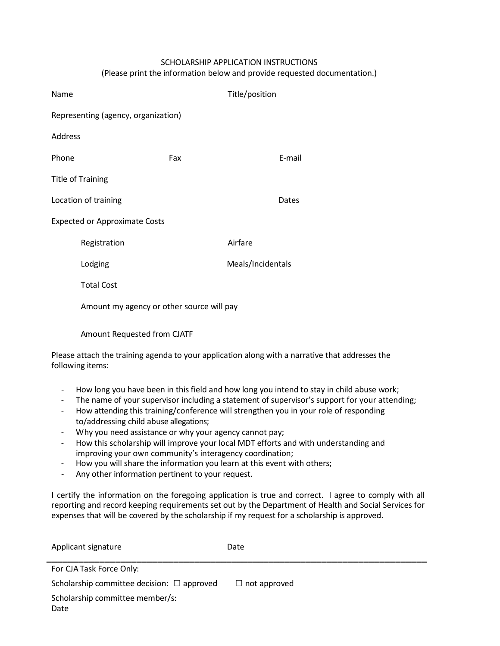## SCHOLARSHIP APPLICATION INSTRUCTIONS

(Please print the information below and provide requested documentation.)

| Name                                 |                                           |     | Title/position    |        |  |
|--------------------------------------|-------------------------------------------|-----|-------------------|--------|--|
| Representing (agency, organization)  |                                           |     |                   |        |  |
| Address                              |                                           |     |                   |        |  |
| Phone                                |                                           | Fax |                   | E-mail |  |
| <b>Title of Training</b>             |                                           |     |                   |        |  |
|                                      | Location of training                      |     |                   | Dates  |  |
| <b>Expected or Approximate Costs</b> |                                           |     |                   |        |  |
|                                      | Registration                              |     | Airfare           |        |  |
|                                      | Lodging                                   |     | Meals/Incidentals |        |  |
|                                      | <b>Total Cost</b>                         |     |                   |        |  |
|                                      | Amount my agency or other source will pay |     |                   |        |  |
|                                      | Amount Requested from CJATF               |     |                   |        |  |

Please attach the training agenda to your application along with a narrative that addresses the following items:

- How long you have been in this field and how long you intend to stay in child abuse work;
- The name of your supervisor including a statement of supervisor's support for your attending;
- How attending this training/conference will strengthen you in your role of responding to/addressing child abuse allegations;
- Why you need assistance or why your agency cannot pay;
- How this scholarship will improve your local MDT efforts and with understanding and improving your own community's interagency coordination;
- How you will share the information you learn at this event with others;
- Any other information pertinent to your request.

I certify the information on the foregoing application is true and correct. I agree to comply with all reporting and record keeping requirements set out by the Department of Health and Social Services for expenses that will be covered by the scholarship if my request for a scholarship is approved.

| Applicant signature                             | Date                |  |  |
|-------------------------------------------------|---------------------|--|--|
| For CJA Task Force Only:                        |                     |  |  |
| Scholarship committee decision: $\Box$ approved | $\Box$ not approved |  |  |
| Scholarship committee member/s:                 |                     |  |  |
| Date                                            |                     |  |  |